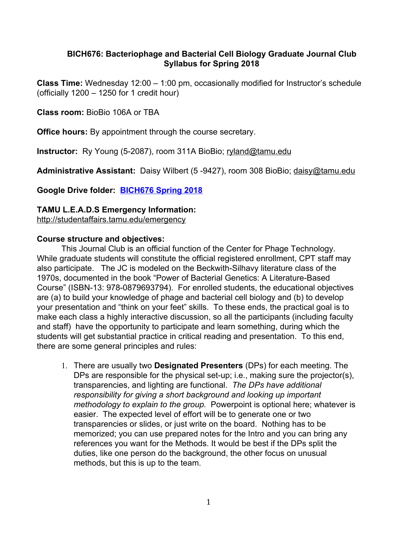## **BICH676: Bacteriophage and Bacterial Cell Biology Graduate Journal Club Syllabus for Spring 2018**

**Class Time:** Wednesday 12:00 – 1:00 pm, occasionally modified for Instructor's schedule (officially 1200 – 1250 for 1 credit hour)

**Class room:** BioBio 106A or TBA

**Office hours:** By appointment through the course secretary.

**Instructor:**  Ry Young (5-2087), room 311A BioBio; [ryland@tamu.edu](mailto:ryland@tamu.edu)

**Administrative Assistant:** Daisy Wilbert (5 -9427), room 308 BioBio; [daisy@tamu.edu](mailto:daisy@tamu.edu)

**Google Drive folder: [BICH676 Spring 2018](https://drive.google.com/open?id=1-F_JGsy_aVagNUNG6lHQP1J7xlwLkJGB)**

## **TAMU L.E.A.D.S Emergency Information:**

[http://studentaffairs.tamu.edu/emergency](http://www.google.com/url?q=http%3A%2F%2Fstudentaffairs.tamu.edu%2Femergency&sa=D&sntz=1&usg=AFrqEzcPI3S-vQv_xkBvW1eHXuh9IxMAuw)

#### **Course structure and objectives:**

This Journal Club is an official function of the Center for Phage Technology. While graduate students will constitute the official registered enrollment, CPT staff may also participate. The JC is modeled on the Beckwith-Silhavy literature class of the 1970s, documented in the book "Power of Bacterial Genetics: A Literature-Based Course" (ISBN-13: 978-0879693794). For enrolled students, the educational objectives are (a) to build your knowledge of phage and bacterial cell biology and (b) to develop your presentation and "think on your feet" skills. To these ends, the practical goal is to make each class a highly interactive discussion, so all the participants (including faculty and staff) have the opportunity to participate and learn something, during which the students will get substantial practice in critical reading and presentation. To this end, there are some general principles and rules:

1. There are usually two **Designated Presenters** (DPs) for each meeting. The DPs are responsible for the physical set-up; i.e., making sure the projector(s), transparencies, and lighting are functional. *The DPs have additional responsibility for giving a short background and looking up important methodology to explain to the group.* Powerpoint is optional here; whatever is easier. The expected level of effort will be to generate one or two transparencies or slides, or just write on the board. Nothing has to be memorized; you can use prepared notes for the Intro and you can bring any references you want for the Methods. It would be best if the DPs split the duties, like one person do the background, the other focus on unusual methods, but this is up to the team.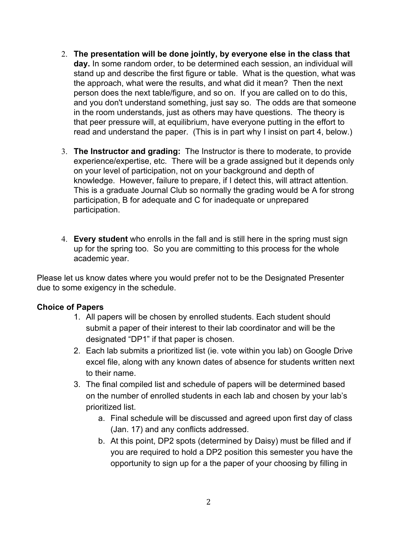- 2. **The presentation will be done jointly, by everyone else in the class that day.** In some random order, to be determined each session, an individual will stand up and describe the first figure or table. What is the question, what was the approach, what were the results, and what did it mean? Then the next person does the next table/figure, and so on. If you are called on to do this, and you don't understand something, just say so. The odds are that someone in the room understands, just as others may have questions. The theory is that peer pressure will, at equilibrium, have everyone putting in the effort to read and understand the paper. (This is in part why I insist on part 4, below.)
- 3. **The Instructor and grading:** The Instructor is there to moderate, to provide experience/expertise, etc. There will be a grade assigned but it depends only on your level of participation, not on your background and depth of knowledge. However, failure to prepare, if I detect this, will attract attention. This is a graduate Journal Club so normally the grading would be A for strong participation, B for adequate and C for inadequate or unprepared participation.
- 4. **Every student** who enrolls in the fall and is still here in the spring must sign up for the spring too. So you are committing to this process for the whole academic year.

Please let us know dates where you would prefer not to be the Designated Presenter due to some exigency in the schedule.

#### **Choice of Papers**

- 1. All papers will be chosen by enrolled students. Each student should submit a paper of their interest to their lab coordinator and will be the designated "DP1" if that paper is chosen.
- 2. Each lab submits a prioritized list (ie. vote within you lab) on Google Drive excel file, along with any known dates of absence for students written next to their name.
- 3. The final compiled list and schedule of papers will be determined based on the number of enrolled students in each lab and chosen by your lab's prioritized list.
	- a. Final schedule will be discussed and agreed upon first day of class (Jan. 17) and any conflicts addressed.
	- b. At this point, DP2 spots (determined by Daisy) must be filled and if you are required to hold a DP2 position this semester you have the opportunity to sign up for a the paper of your choosing by filling in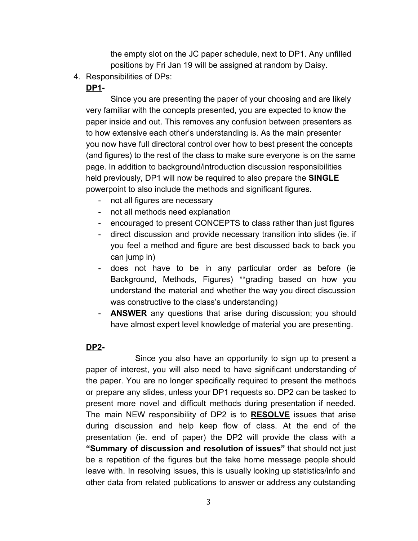the empty slot on the JC paper schedule, next to DP1. Any unfilled positions by Fri Jan 19 will be assigned at random by Daisy.

4. Responsibilities of DPs:

# **DP1-**

Since you are presenting the paper of your choosing and are likely very familiar with the concepts presented, you are expected to know the paper inside and out. This removes any confusion between presenters as to how extensive each other's understanding is. As the main presenter you now have full directoral control over how to best present the concepts (and figures) to the rest of the class to make sure everyone is on the same page. In addition to background/introduction discussion responsibilities held previously, DP1 will now be required to also prepare the **SINGLE** powerpoint to also include the methods and significant figures.

- not all figures are necessary
- not all methods need explanation
- encouraged to present CONCEPTS to class rather than just figures
- direct discussion and provide necessary transition into slides (ie. if you feel a method and figure are best discussed back to back you can jump in)
- does not have to be in any particular order as before (ie Background, Methods, Figures) \*\*grading based on how you understand the material and whether the way you direct discussion was constructive to the class's understanding)
- **ANSWER** any questions that arise during discussion; you should have almost expert level knowledge of material you are presenting.

# **DP2-**

Since you also have an opportunity to sign up to present a paper of interest, you will also need to have significant understanding of the paper. You are no longer specifically required to present the methods or prepare any slides, unless your DP1 requests so. DP2 can be tasked to present more novel and difficult methods during presentation if needed. The main NEW responsibility of DP2 is to **RESOLVE** issues that arise during discussion and help keep flow of class. At the end of the presentation (ie. end of paper) the DP2 will provide the class with a **"Summary of discussion and resolution of issues"** that should not just be a repetition of the figures but the take home message people should leave with. In resolving issues, this is usually looking up statistics/info and other data from related publications to answer or address any outstanding